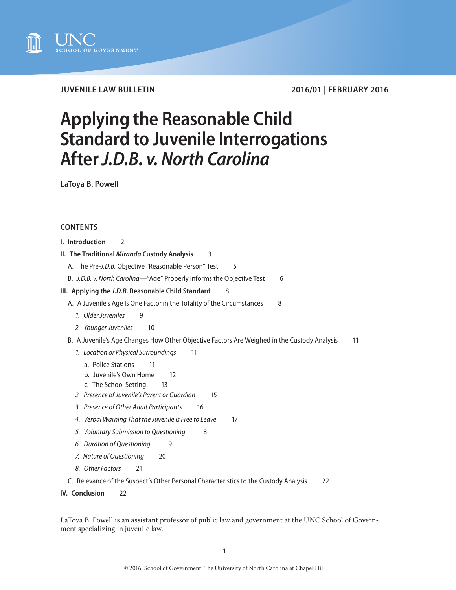

**JUVENILE LAW BULLETIN 2016/01 | FEBRUARY 2016**

# **Applying the Reasonable Child Standard to Juvenile Interrogations After** *J.D.B. v. North Carolina*

**LaToya B. Powell** 

# **CONTENTS**

| I. Introduction<br>$\mathcal{P}$                                                                  |
|---------------------------------------------------------------------------------------------------|
| II. The Traditional Miranda Custody Analysis<br>3                                                 |
| A. The Pre-J.D.B. Objective "Reasonable Person" Test<br>5                                         |
| B. J.D.B. v. North Carolina—"Age" Properly Informs the Objective Test<br>6                        |
| III. Applying the J.D.B. Reasonable Child Standard<br>8                                           |
| A. A Juvenile's Age Is One Factor in the Totality of the Circumstances<br>8                       |
| 1. Older Juveniles<br>9                                                                           |
| 2. Younger Juveniles<br>10                                                                        |
| B. A Juvenile's Age Changes How Other Objective Factors Are Weighed in the Custody Analysis<br>11 |
| 1. Location or Physical Surroundings<br>11                                                        |
| a. Police Stations<br>11                                                                          |
| b. Juvenile's Own Home<br>12                                                                      |
| c. The School Setting<br>13                                                                       |
| 2. Presence of Juvenile's Parent or Guardian<br>15                                                |
| 3. Presence of Other Adult Participants<br>16                                                     |
| 4. Verbal Warning That the Juvenile Is Free to Leave<br>17                                        |
| 5. Voluntary Submission to Questioning<br>18                                                      |
| 6. Duration of Questioning<br>19                                                                  |
| 7. Nature of Questioning<br>20                                                                    |
| 8. Other Factors<br>21                                                                            |
| C. Relevance of the Suspect's Other Personal Characteristics to the Custody Analysis<br>22        |
| IV. Conclusion<br>22                                                                              |

LaToya B. Powell is an assistant professor of public law and government at the UNC School of Government specializing in juvenile law.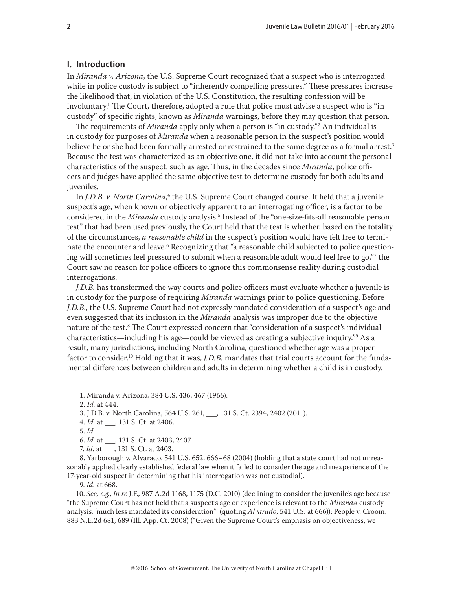# <span id="page-1-0"></span>**I. Introduction**

In *Miranda v. Arizona*, the U.S. Supreme Court recognized that a suspect who is interrogated while in police custody is subject to "inherently compelling pressures." These pressures increase the likelihood that, in violation of the U.S. Constitution, the resulting confession will be involuntary.<sup>1</sup> The Court, therefore, adopted a rule that police must advise a suspect who is "in custody" of specific rights, known as *Miranda* warnings, before they may question that person.

The requirements of *Miranda* apply only when a person is "in custody."2 An individual is in custody for purposes of *Miranda* when a reasonable person in the suspect's position would believe he or she had been formally arrested or restrained to the same degree as a formal arrest.<sup>3</sup> Because the test was characterized as an objective one, it did not take into account the personal characteristics of the suspect, such as age. Thus, in the decades since *Miranda*, police officers and judges have applied the same objective test to determine custody for both adults and juveniles.

In *J.D.B. v. North Carolina*, 4 the U.S. Supreme Court changed course. It held that a juvenile suspect's age, when known or objectively apparent to an interrogating officer, is a factor to be considered in the *Miranda* custody analysis.<sup>5</sup> Instead of the "one-size-fits-all reasonable person test" that had been used previously, the Court held that the test is whether, based on the totality of the circumstances, *a reasonable child* in the suspect's position would have felt free to terminate the encounter and leave.<sup>6</sup> Recognizing that "a reasonable child subjected to police questioning will sometimes feel pressured to submit when a reasonable adult would feel free to go,"7 the Court saw no reason for police officers to ignore this commonsense reality during custodial interrogations.

*J.D.B.* has transformed the way courts and police officers must evaluate whether a juvenile is in custody for the purpose of requiring *Miranda* warnings prior to police questioning. Before *J.D.B.*, the U.S. Supreme Court had not expressly mandated consideration of a suspect's age and even suggested that its inclusion in the *Miranda* analysis was improper due to the objective nature of the test.8 The Court expressed concern that "consideration of a suspect's individual characteristics—including his age—could be viewed as creating a subjective inquiry."9 As a result, many jurisdictions, including North Carolina, questioned whether age was a proper factor to consider.10 Holding that it was, *J.D.B.* mandates that trial courts account for the fundamental differences between children and adults in determining whether a child is in custody.

2. *Id.* at 444.

8. Yarborough v. Alvarado, 541 U.S. 652, 666–68 (2004) (holding that a state court had not unreasonably applied clearly established federal law when it failed to consider the age and inexperience of the 17-year-old suspect in determining that his interrogation was not custodial).

9. *Id.* at 668.

10. *See, e.g.*, *In re* J.F., 987 A.2d 1168, 1175 (D.C. 2010) (declining to consider the juvenile's age because "the Supreme Court has not held that a suspect's age or experience is relevant to the *Miranda* custody analysis, 'much less mandated its consideration'" (quoting *Alvarado*, 541 U.S. at 666)); People v. Croom, 883 N.E.2d 681, 689 (Ill. App. Ct. 2008) ("Given the Supreme Court's emphasis on objectiveness, we

<sup>1.</sup> Miranda v. Arizona, 384 U.S. 436, 467 (1966).

<sup>3.</sup> J.D.B. v. North Carolina, 564 U.S. 261, \_\_\_, 131 S. Ct. 2394, 2402 (2011).

<sup>4.</sup> *Id.* at \_\_\_, 131 S. Ct. at 2406.

<sup>5.</sup> *Id.*

<sup>6.</sup> *Id.* at \_\_\_, 131 S. Ct. at 2403, 2407.

<sup>7.</sup> *Id.* at \_\_\_, 131 S. Ct. at 2403.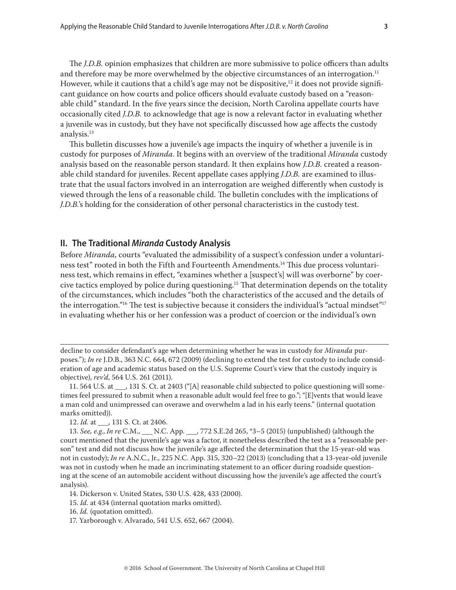<span id="page-2-0"></span>The *J.D.B.* opinion emphasizes that children are more submissive to police officers than adults and therefore may be more overwhelmed by the objective circumstances of an interrogation.<sup>11</sup> However, while it cautions that a child's age may not be dispositive, $12$  it does not provide significant guidance on how courts and police officers should evaluate custody based on a "reasonable child" standard. In the five years since the decision, North Carolina appellate courts have occasionally cited *J.D.B.* to acknowledge that age is now a relevant factor in evaluating whether a juvenile was in custody, but they have not specifically discussed how age affects the custody analysis.13

This bulletin discusses how a juvenile's age impacts the inquiry of whether a juvenile is in custody for purposes of *Miranda*. It begins with an overview of the traditional *Miranda* custody analysis based on the reasonable person standard. It then explains how *J.D.B.* created a reasonable child standard for juveniles. Recent appellate cases applying *J.D.B.* are examined to illustrate that the usual factors involved in an interrogation are weighed differently when custody is viewed through the lens of a reasonable child. The bulletin concludes with the implications of *J.D.B.*'s holding for the consideration of other personal characteristics in the custody test.

# **II. The Traditional** *Miranda* **Custody Analysis**

Before *Miranda*, courts "evaluated the admissibility of a suspect's confession under a voluntariness test" rooted in both the Fifth and Fourteenth Amendments.<sup>14</sup> This due process voluntariness test, which remains in effect, "examines whether a [suspect's] will was overborne" by coercive tactics employed by police during questioning.15 That determination depends on the totality of the circumstances, which includes "both the characteristics of the accused and the details of the interrogation."<sup>16</sup> The test is subjective because it considers the individual's "actual mindset"<sup>17</sup> in evaluating whether his or her confession was a product of coercion or the individual's own

decline to consider defendant's age when determining whether he was in custody for *Miranda* purposes."); *In re* J.D.B., 363 N.C. 664, 672 (2009) (declining to extend the test for custody to include consideration of age and academic status based on the U.S. Supreme Court's view that the custody inquiry is objective), *rev'd*, 564 U.S. 261 (2011).

<sup>11. 564</sup> U.S. at \_\_\_, 131 S. Ct. at 2403 ("[A] reasonable child subjected to police questioning will sometimes feel pressured to submit when a reasonable adult would feel free to go."; "[E]vents that would leave a man cold and unimpressed can overawe and overwhelm a lad in his early teens." (internal quotation marks omitted)).

<sup>12.</sup> *Id.* at \_\_\_, 131 S. Ct. at 2406.

<sup>13.</sup> *See, e.g.*, *In re* C.M., \_\_\_ N.C. App. \_\_\_, 772 S.E.2d 265, \*3–5 (2015) (unpublished) (although the court mentioned that the juvenile's age was a factor, it nonetheless described the test as a "reasonable person" test and did not discuss how the juvenile's age affected the determination that the 15-year-old was not in custody); *In re* A.N.C., Jr., 225 N.C. App. 315, 320–22 (2013) (concluding that a 13-year-old juvenile was not in custody when he made an incriminating statement to an officer during roadside questioning at the scene of an automobile accident without discussing how the juvenile's age affected the court's analysis).

<sup>14.</sup> Dickerson v. United States, 530 U.S. 428, 433 (2000).

<sup>15.</sup> *Id.* at 434 (internal quotation marks omitted).

<sup>16.</sup> *Id.* (quotation omitted).

<sup>17.</sup> Yarborough v. Alvarado, 541 U.S. 652, 667 (2004).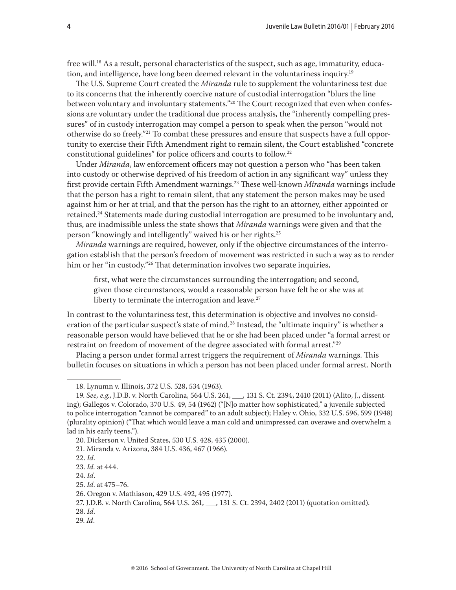free will.18 As a result, personal characteristics of the suspect, such as age, immaturity, education, and intelligence, have long been deemed relevant in the voluntariness inquiry.<sup>19</sup>

The U.S. Supreme Court created the *Miranda* rule to supplement the voluntariness test due to its concerns that the inherently coercive nature of custodial interrogation "blurs the line between voluntary and involuntary statements."<sup>20</sup> The Court recognized that even when confessions are voluntary under the traditional due process analysis, the "inherently compelling pressures" of in custody interrogation may compel a person to speak when the person "would not otherwise do so freely."21 To combat these pressures and ensure that suspects have a full opportunity to exercise their Fifth Amendment right to remain silent, the Court established "concrete constitutional guidelines" for police officers and courts to follow.22

Under *Miranda*, law enforcement officers may not question a person who "has been taken into custody or otherwise deprived of his freedom of action in any significant way" unless they first provide certain Fifth Amendment warnings.23 These well-known *Miranda* warnings include that the person has a right to remain silent, that any statement the person makes may be used against him or her at trial, and that the person has the right to an attorney, either appointed or retained.<sup>24</sup> Statements made during custodial interrogation are presumed to be involuntary and, thus, are inadmissible unless the state shows that *Miranda* warnings were given and that the person "knowingly and intelligently" waived his or her rights.25

*Miranda* warnings are required, however, only if the objective circumstances of the interrogation establish that the person's freedom of movement was restricted in such a way as to render him or her "in custody."<sup>26</sup> That determination involves two separate inquiries,

first, what were the circumstances surrounding the interrogation; and second, given those circumstances, would a reasonable person have felt he or she was at liberty to terminate the interrogation and leave. $27$ 

In contrast to the voluntariness test, this determination is objective and involves no consideration of the particular suspect's state of mind.<sup>28</sup> Instead, the "ultimate inquiry" is whether a reasonable person would have believed that he or she had been placed under "a formal arrest or restraint on freedom of movement of the degree associated with formal arrest."29

Placing a person under formal arrest triggers the requirement of *Miranda* warnings. This bulletin focuses on situations in which a person has not been placed under formal arrest. North

<sup>18.</sup> Lynumn v. Illinois, 372 U.S. 528, 534 (1963).

<sup>19.</sup> *See, e.g.*, J.D.B. v. North Carolina, 564 U.S. 261, \_\_\_, 131 S. Ct. 2394, 2410 (2011) (Alito, J., dissenting); Gallegos v. Colorado, 370 U.S. 49, 54 (1962) ("[N]o matter how sophisticated," a juvenile subjected to police interrogation "cannot be compared" to an adult subject); Haley v. Ohio, 332 U.S. 596, 599 (1948) (plurality opinion) ("That which would leave a man cold and unimpressed can overawe and overwhelm a lad in his early teens.").

<sup>20.</sup> Dickerson v. United States, 530 U.S. 428, 435 (2000).

<sup>21.</sup> Miranda v. Arizona, 384 U.S. 436, 467 (1966).

<sup>22.</sup> *Id.*

<sup>23.</sup> *Id.* at 444.

<sup>24.</sup> *Id*.

<sup>25.</sup> *Id*. at 475–76.

<sup>26.</sup> Oregon v. Mathiason, 429 U.S. 492, 495 (1977).

<sup>27.</sup> J.D.B. v. North Carolina, 564 U.S. 261, \_\_\_, 131 S. Ct. 2394, 2402 (2011) (quotation omitted).

<sup>28.</sup> *Id*.

<sup>29.</sup> *Id*.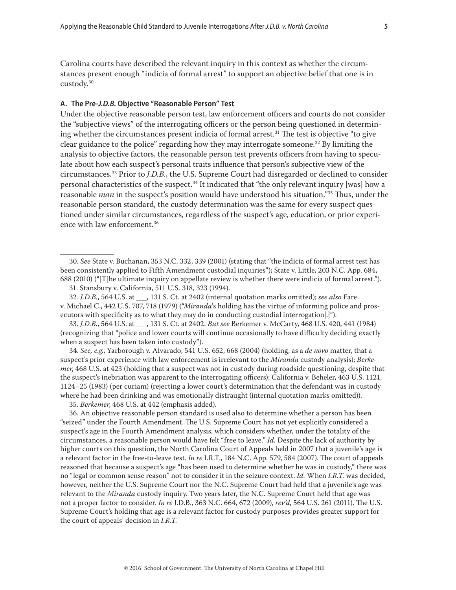<span id="page-4-0"></span>Carolina courts have described the relevant inquiry in this context as whether the circumstances present enough "indicia of formal arrest" to support an objective belief that one is in custody.30

## **A. The Pre-***J.D.B.* **Objective "Reasonable Person" Test**

Under the objective reasonable person test, law enforcement officers and courts do not consider the "subjective views" of the interrogating officers or the person being questioned in determining whether the circumstances present indicia of formal arrest.<sup>31</sup> The test is objective "to give clear guidance to the police" regarding how they may interrogate someone.<sup>32</sup> By limiting the analysis to objective factors, the reasonable person test prevents officers from having to speculate about how each suspect's personal traits influence that person's subjective view of the circumstances.33 Prior to *J.D.B.*, the U.S. Supreme Court had disregarded or declined to consider personal characteristics of the suspect.<sup>34</sup> It indicated that "the only relevant inquiry [was] how a reasonable *man* in the suspect's position would have understood his situation."35 Thus, under the reasonable person standard, the custody determination was the same for every suspect questioned under similar circumstances, regardless of the suspect's age, education, or prior experience with law enforcement.36

33. *J.D.B.*, 564 U.S. at \_\_\_, 131 S. Ct. at 2402. *But see* Berkemer v. McCarty, 468 U.S. 420, 441 (1984) (recognizing that "police and lower courts will continue occasionally to have difficulty deciding exactly when a suspect has been taken into custody").

34. *See, e.g.*, Yarborough v. Alvarado, 541 U.S. 652, 668 (2004) (holding, as a *de novo* matter, that a suspect's prior experience with law enforcement is irrelevant to the *Miranda* custody analysis); *Berkemer*, 468 U.S. at 423 (holding that a suspect was not in custody during roadside questioning, despite that the suspect's inebriation was apparent to the interrogating officers); California v. Beheler, 463 U.S. 1121, 1124–25 (1983) (per curiam) (rejecting a lower court's determination that the defendant was in custody where he had been drinking and was emotionally distraught (internal quotation marks omitted)).

35. *Berkemer*, 468 U.S. at 442 (emphasis added).

36. An objective reasonable person standard is used also to determine whether a person has been "seized" under the Fourth Amendment. The U.S. Supreme Court has not yet explicitly considered a suspect's age in the Fourth Amendment analysis, which considers whether, under the totality of the circumstances, a reasonable person would have felt "free to leave." *Id.* Despite the lack of authority by higher courts on this question, the North Carolina Court of Appeals held in 2007 that a juvenile's age is a relevant factor in the free-to-leave test. *In re* I.R.T., 184 N.C. App. 579, 584 (2007). The court of appeals reasoned that because a suspect's age "has been used to determine whether he was in custody," there was no "legal or common sense reason" not to consider it in the seizure context. *Id.* When *I.R.T.* was decided, however, neither the U.S. Supreme Court nor the N.C. Supreme Court had held that a juvenile's age was relevant to the *Miranda* custody inquiry. Two years later, the N.C. Supreme Court held that age was not a proper factor to consider. *In re* J.D.B., 363 N.C. 664, 672 (2009), *rev'd*, 564 U.S. 261 (2011). The U.S. Supreme Court's holding that age is a relevant factor for custody purposes provides greater support for the court of appeals' decision in *I.R.T.*

<sup>30.</sup> *See* State v. Buchanan, 353 N.C. 332, 339 (2001) (stating that "the indicia of formal arrest test has been consistently applied to Fifth Amendment custodial inquiries"); State v. Little, 203 N.C. App. 684, 688 (2010) ("[T]he ultimate inquiry on appellate review is whether there were indicia of formal arrest.").

<sup>31.</sup> Stansbury v. California, 511 U.S. 318, 323 (1994).

<sup>32.</sup> *J.D.B.*, 564 U.S. at \_\_\_, 131 S. Ct. at 2402 (internal quotation marks omitted); *see also* Fare v. Michael C., 442 U.S. 707, 718 (1979) ("*Miranda*'s holding has the virtue of informing police and prosecutors with specificity as to what they may do in conducting custodial interrogation[.]").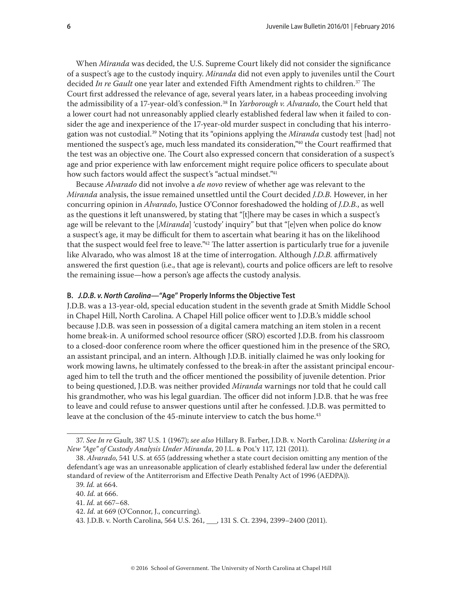<span id="page-5-0"></span>When *Miranda* was decided, the U.S. Supreme Court likely did not consider the significance of a suspect's age to the custody inquiry. *Miranda* did not even apply to juveniles until the Court decided *In re Gault* one year later and extended Fifth Amendment rights to children.<sup>37</sup> The Court first addressed the relevance of age, several years later, in a habeas proceeding involving the admissibility of a 17-year-old's confession.38 In *Yarborough v. Alvarado*, the Court held that a lower court had not unreasonably applied clearly established federal law when it failed to consider the age and inexperience of the 17-year-old murder suspect in concluding that his interrogation was not custodial.39 Noting that its "opinions applying the *Miranda* custody test [had] not mentioned the suspect's age, much less mandated its consideration,"40 the Court reaffirmed that the test was an objective one. The Court also expressed concern that consideration of a suspect's age and prior experience with law enforcement might require police officers to speculate about how such factors would affect the suspect's "actual mindset."<sup>41</sup>

Because *Alvarado* did not involve a *de novo* review of whether age was relevant to the *Miranda* analysis, the issue remained unsettled until the Court decided *J.D.B.* However, in her concurring opinion in *Alvarado*, Justice O'Connor foreshadowed the holding of *J.D.B.*, as well as the questions it left unanswered, by stating that "[t]here may be cases in which a suspect's age will be relevant to the [*Miranda*] 'custody' inquiry" but that "[e]ven when police do know a suspect's age, it may be difficult for them to ascertain what bearing it has on the likelihood that the suspect would feel free to leave."<sup>42</sup> The latter assertion is particularly true for a juvenile like Alvarado, who was almost 18 at the time of interrogation. Although *J.D.B.* affirmatively answered the first question (i.e., that age is relevant), courts and police officers are left to resolve the remaining issue—how a person's age affects the custody analysis.

### **B.** *J.D.B. v. North Carolina***—"Age" Properly Informs the Objective Test**

J.D.B. was a 13-year-old, special education student in the seventh grade at Smith Middle School in Chapel Hill, North Carolina. A Chapel Hill police officer went to J.D.B.'s middle school because J.D.B. was seen in possession of a digital camera matching an item stolen in a recent home break-in. A uniformed school resource officer (SRO) escorted J.D.B. from his classroom to a closed-door conference room where the officer questioned him in the presence of the SRO, an assistant principal, and an intern. Although J.D.B. initially claimed he was only looking for work mowing lawns, he ultimately confessed to the break-in after the assistant principal encouraged him to tell the truth and the officer mentioned the possibility of juvenile detention. Prior to being questioned, J.D.B. was neither provided *Miranda* warnings nor told that he could call his grandmother, who was his legal guardian. The officer did not inform J.D.B. that he was free to leave and could refuse to answer questions until after he confessed. J.D.B. was permitted to leave at the conclusion of the  $45$ -minute interview to catch the bus home.<sup>43</sup>

<sup>37.</sup> *See In re* Gault, 387 U.S. 1 (1967); *see also* Hillary B. Farber, J.D.B. v. North Carolina*: Ushering in a New "Age" of Custody Analysis Under Miranda*, 20 J.L. & Pol'y 117, 121 (2011).

<sup>38.</sup> *Alvarado*, 541 U.S. at 655 (addressing whether a state court decision omitting any mention of the defendant's age was an unreasonable application of clearly established federal law under the deferential standard of review of the Antiterrorism and Effective Death Penalty Act of 1996 (AEDPA)).

<sup>39.</sup> *Id.* at 664.

<sup>40.</sup> *Id.* at 666.

<sup>41.</sup> *Id.* at 667–68.

<sup>42.</sup> *Id.* at 669 (O'Connor, J., concurring).

<sup>43.</sup> J.D.B. v. North Carolina, 564 U.S. 261, \_\_\_, 131 S. Ct. 2394, 2399–2400 (2011).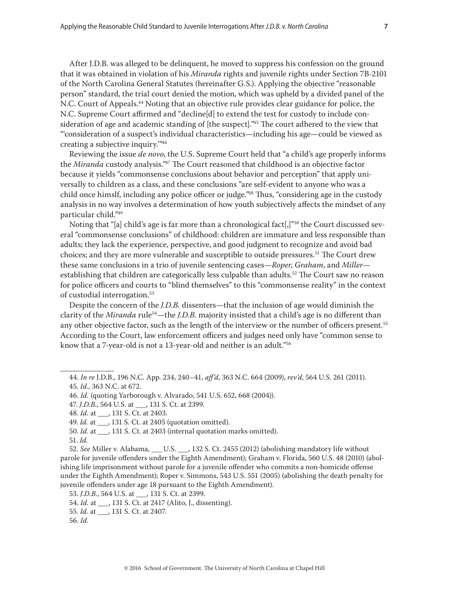After J.D.B. was alleged to be delinquent, he moved to suppress his confession on the ground that it was obtained in violation of his *Miranda* rights and juvenile rights under Section 7B-2101 of the North Carolina General Statutes (hereinafter G.S.). Applying the objective "reasonable person" standard, the trial court denied the motion, which was upheld by a divided panel of the N.C. Court of Appeals.44 Noting that an objective rule provides clear guidance for police, the N.C. Supreme Court affirmed and "decline[d] to extend the test for custody to include consideration of age and academic standing of [the suspect]."45 The court adhered to the view that "'consideration of a suspect's individual characteristics—including his age—could be viewed as creating a subjective inquiry.'"46

Reviewing the issue *de novo*, the U.S. Supreme Court held that "a child's age properly informs the *Miranda* custody analysis."47 The Court reasoned that childhood is an objective factor because it yields "commonsense conclusions about behavior and perception" that apply universally to children as a class, and these conclusions "are self-evident to anyone who was a child once himslf, including any police officer or judge."48 Thus, "considering age in the custody analysis in no way involves a determination of how youth subjectively affects the mindset of any particular child."49

Noting that "[a] child's age is far more than a chronological fact[,]"50 the Court discussed several "commonsense conclusions" of childhood: children are immature and less responsible than adults; they lack the experience, perspective, and good judgment to recognize and avoid bad choices; and they are more vulnerable and susceptible to outside pressures.<sup>51</sup> The Court drew these same conclusions in a trio of juvenile sentencing cases—*Roper*, *Graham*, and *Miller* establishing that children are categorically less culpable than adults.<sup>52</sup> The Court saw no reason for police officers and courts to "blind themselves" to this "commonsense reality" in the context of custodial interrogation.<sup>53</sup>

Despite the concern of the *J.D.B.* dissenters—that the inclusion of age would diminish the clarity of the *Miranda* rule<sup>54</sup>—the *J.D.B.* majority insisted that a child's age is no different than any other objective factor, such as the length of the interview or the number of officers present.55 According to the Court, law enforcement officers and judges need only have "common sense to know that a 7-year-old is not a 13-year-old and neither is an adult."56

<sup>44.</sup> *In re* J.D.B., 196 N.C. App. 234, 240–41, *aff'd*, 363 N.C. 664 (2009), *rev'd*, 564 U.S. 261 (2011). 45. *Id.*, 363 N.C. at 672.

<sup>46.</sup> *Id.* (quoting Yarborough v. Alvarado, 541 U.S. 652, 668 (2004)).

<sup>47.</sup> *J.D.B.*, 564 U.S. at \_\_\_, 131 S. Ct. at 2399.

<sup>48.</sup> *Id.* at \_\_\_, 131 S. Ct. at 2403.

<sup>49.</sup> *Id.* at \_\_\_, 131 S. Ct. at 2405 (quotation omitted).

<sup>50.</sup> *Id.* at  $\qquad$ , 131 S. Ct. at 2403 (internal quotation marks omitted).

<sup>51.</sup> *Id.*

<sup>52.</sup> *See* Miller v. Alabama, \_\_\_ U.S. \_\_\_, 132 S. Ct. 2455 (2012) (abolishing mandatory life without parole for juvenile offenders under the Eighth Amendment); Graham v. Florida, 560 U.S. 48 (2010) (abolishing life imprisonment without parole for a juvenile offender who commits a non-homicide offense under the Eighth Amendment); Roper v. Simmons, 543 U.S. 551 (2005) (abolishing the death penalty for juvenile offenders under age 18 pursuant to the Eighth Amendment).

<sup>53.</sup> *J.D.B.*, 564 U.S. at \_\_\_, 131 S. Ct. at 2399.

<sup>54.</sup> *Id.* at \_\_\_, 131 S. Ct. at 2417 (Alito, J., dissenting).

<sup>55.</sup> *Id.* at \_\_\_, 131 S. Ct. at 2407.

<sup>56.</sup> *Id.*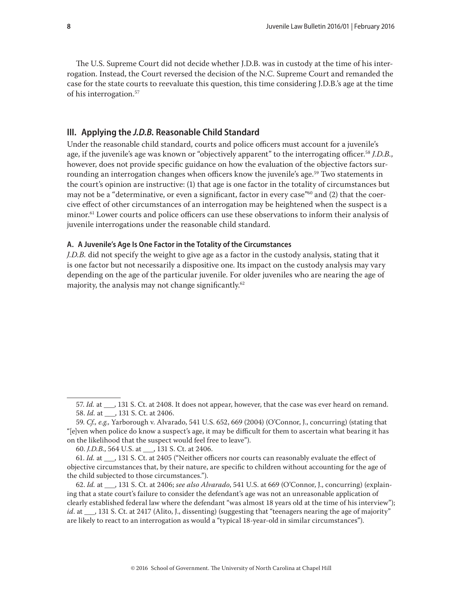<span id="page-7-0"></span>The U.S. Supreme Court did not decide whether J.D.B. was in custody at the time of his interrogation. Instead, the Court reversed the decision of the N.C. Supreme Court and remanded the case for the state courts to reevaluate this question, this time considering J.D.B.'s age at the time of his interrogation.57

## **III. Applying the** *J.D.B.* **Reasonable Child Standard**

Under the reasonable child standard, courts and police officers must account for a juvenile's age, if the juvenile's age was known or "objectively apparent" to the interrogating officer.58 *J.D.B.*, however, does not provide specific guidance on how the evaluation of the objective factors surrounding an interrogation changes when officers know the juvenile's age.<sup>59</sup> Two statements in the court's opinion are instructive: (1) that age is one factor in the totality of circumstances but may not be a "determinative, or even a significant, factor in every case"<sup>60</sup> and  $(2)$  that the coercive effect of other circumstances of an interrogation may be heightened when the suspect is a minor.<sup>61</sup> Lower courts and police officers can use these observations to inform their analysis of juvenile interrogations under the reasonable child standard.

## **A. A Juvenile's Age Is One Factor in the Totality of the Circumstances**

*J.D.B.* did not specify the weight to give age as a factor in the custody analysis, stating that it is one factor but not necessarily a dispositive one. Its impact on the custody analysis may vary depending on the age of the particular juvenile. For older juveniles who are nearing the age of majority, the analysis may not change significantly.62

<sup>57.</sup> *Id.* at \_\_, 131 S. Ct. at 2408. It does not appear, however, that the case was ever heard on remand. 58. *Id.* at \_\_\_, 131 S. Ct. at 2406.

<sup>59.</sup> *Cf., e.g.,* Yarborough v. Alvarado, 541 U.S. 652, 669 (2004) (O'Connor, J., concurring) (stating that "[e]ven when police do know a suspect's age, it may be difficult for them to ascertain what bearing it has on the likelihood that the suspect would feel free to leave").

<sup>60.</sup> *J.D.B.*, 564 U.S. at \_\_\_, 131 S. Ct. at 2406.

<sup>61.</sup> *Id.* at  $\,$ , 131 S. Ct. at 2405 ("Neither officers nor courts can reasonably evaluate the effect of objective circumstances that, by their nature, are specific to children without accounting for the age of the child subjected to those circumstances.").

<sup>62.</sup> *Id.* at \_\_\_, 131 S. Ct. at 2406; *see also Alvarado*, 541 U.S. at 669 (O'Connor, J., concurring) (explaining that a state court's failure to consider the defendant's age was not an unreasonable application of clearly established federal law where the defendant "was almost 18 years old at the time of his interview"); *id.* at \_\_\_, 131 S. Ct. at 2417 (Alito, J., dissenting) (suggesting that "teenagers nearing the age of majority" are likely to react to an interrogation as would a "typical 18-year-old in similar circumstances").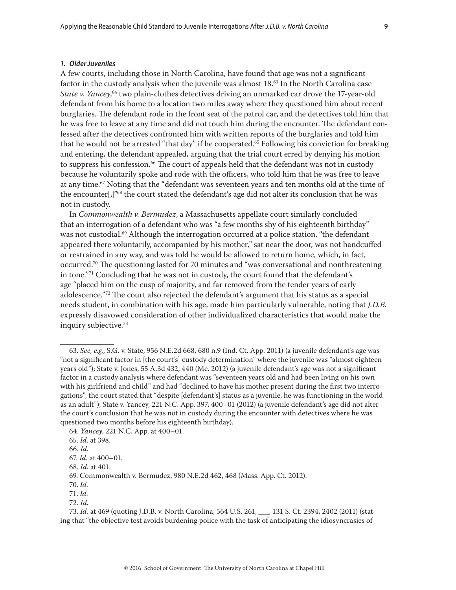#### <span id="page-8-0"></span>*1. Older Juveniles*

A few courts, including those in North Carolina, have found that age was not a significant factor in the custody analysis when the juvenile was almost 18.63 In the North Carolina case *State v. Yancey*, 64 two plain-clothes detectives driving an unmarked car drove the 17-year-old defendant from his home to a location two miles away where they questioned him about recent burglaries. The defendant rode in the front seat of the patrol car, and the detectives told him that he was free to leave at any time and did not touch him during the encounter. The defendant confessed after the detectives confronted him with written reports of the burglaries and told him that he would not be arrested "that day" if he cooperated.65 Following his conviction for breaking and entering, the defendant appealed, arguing that the trial court erred by denying his motion to suppress his confession.<sup>66</sup> The court of appeals held that the defendant was not in custody because he voluntarily spoke and rode with the officers, who told him that he was free to leave at any time.<sup>67</sup> Noting that the "defendant was seventeen years and ten months old at the time of the encounter[,]"68 the court stated the defendant's age did not alter its conclusion that he was not in custody.

In *Commonwealth v. Bermudez*, a Massachusetts appellate court similarly concluded that an interrogation of a defendant who was "a few months shy of his eighteenth birthday" was not custodial.<sup>69</sup> Although the interrogation occurred at a police station, "the defendant appeared there voluntarily, accompanied by his mother," sat near the door, was not handcuffed or restrained in any way, and was told he would be allowed to return home, which, in fact, occurred.70 The questioning lasted for 70 minutes and "was conversational and nonthreatening in tone."<sup>71</sup> Concluding that he was not in custody, the court found that the defendant's age "placed him on the cusp of majority, and far removed from the tender years of early adolescence."<sup>72</sup> The court also rejected the defendant's argument that his status as a special needs student, in combination with his age, made him particularly vulnerable, noting that *J.D.B.* expressly disavowed consideration of other individualized characteristics that would make the inquiry subjective.73

<sup>63.</sup> *See, e.g.*, S.G. v. State, 956 N.E.2d 668, 680 n.9 (Ind. Ct. App. 2011) (a juvenile defendant's age was "not a significant factor in [the court's] custody determination" where the juvenile was "almost eighteen years old"); State v. Jones, 55 A.3d 432, 440 (Me. 2012) (a juvenile defendant's age was not a significant factor in a custody analysis where defendant was "seventeen years old and had been living on his own with his girlfriend and child" and had "declined to have his mother present during the first two interrogations"; the court stated that "despite [defendant's] status as a juvenile, he was functioning in the world as an adult"); State v. Yancey, 221 N.C. App. 397, 400–01 (2012) (a juvenile defendant's age did not alter the court's conclusion that he was not in custody during the encounter with detectives where he was questioned two months before his eighteenth birthday).

<sup>64.</sup> *Yancey*, 221 N.C. App. at 400–01.

<sup>65.</sup> *Id*. at 398.

<sup>66.</sup> *Id.*

<sup>67.</sup> *Id.* at 400–01.

<sup>68.</sup> *Id.* at 401.

<sup>69.</sup> Commonwealth v. Bermudez, 980 N.E.2d 462, 468 (Mass. App. Ct. 2012).

<sup>70.</sup> *Id.*

<sup>71.</sup> *Id.*

<sup>72.</sup> *Id.*

<sup>73.</sup> *Id.* at 469 (quoting J.D.B. v. North Carolina, 564 U.S. 261, \_\_\_, 131 S. Ct. 2394, 2402 (2011) (stating that "the objective test avoids burdening police with the task of anticipating the idiosyncrasies of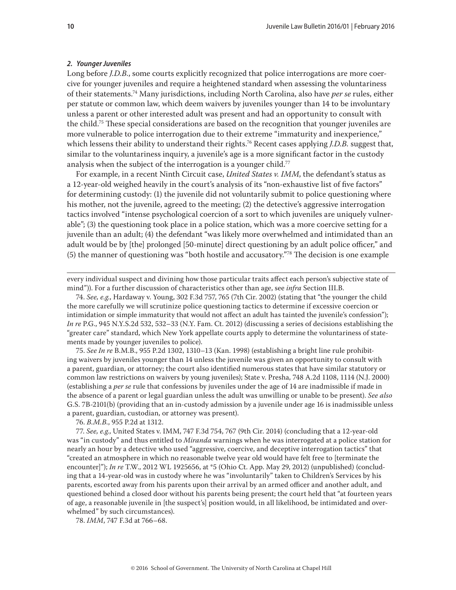#### <span id="page-9-0"></span>*2. Younger Juveniles*

Long before *J.D.B.*, some courts explicitly recognized that police interrogations are more coercive for younger juveniles and require a heightened standard when assessing the voluntariness of their statements.74 Many jurisdictions, including North Carolina, also have *per se* rules, either per statute or common law, which deem waivers by juveniles younger than 14 to be involuntary unless a parent or other interested adult was present and had an opportunity to consult with the child.75 These special considerations are based on the recognition that younger juveniles are more vulnerable to police interrogation due to their extreme "immaturity and inexperience," which lessens their ability to understand their rights.<sup>76</sup> Recent cases applying *J.D.B.* suggest that, similar to the voluntariness inquiry, a juvenile's age is a more significant factor in the custody analysis when the subject of the interrogation is a younger child.<sup>77</sup>

For example, in a recent Ninth Circuit case, *United States v. IMM*, the defendant's status as a 12-year-old weighed heavily in the court's analysis of its "non-exhaustive list of five factors" for determining custody: (1) the juvenile did not voluntarily submit to police questioning where his mother, not the juvenile, agreed to the meeting; (2) the detective's aggressive interrogation tactics involved "intense psychological coercion of a sort to which juveniles are uniquely vulnerable"; (3) the questioning took place in a police station, which was a more coercive setting for a juvenile than an adult; (4) the defendant "was likely more overwhelmed and intimidated than an adult would be by [the] prolonged [50-minute] direct questioning by an adult police officer," and (5) the manner of questioning was "both hostile and accusatory."78 The decision is one example

every individual suspect and divining how those particular traits affect each person's subjective state of mind")). For a further discussion of characteristics other than age, see *infra* Section III.B.

74. *See, e.g.*, Hardaway v. Young, 302 F.3d 757, 765 (7th Cir. 2002) (stating that "the younger the child the more carefully we will scrutinize police questioning tactics to determine if excessive coercion or intimidation or simple immaturity that would not affect an adult has tainted the juvenile's confession"); *In re* P.G., 945 N.Y.S.2d 532, 532–33 (N.Y. Fam. Ct. 2012) (discussing a series of decisions establishing the "greater care" standard, which New York appellate courts apply to determine the voluntariness of statements made by younger juveniles to police).

75. *See In re* B.M.B., 955 P.2d 1302, 1310–13 (Kan. 1998) (establishing a bright line rule prohibiting waivers by juveniles younger than 14 unless the juvenile was given an opportunity to consult with a parent, guardian, or attorney; the court also identified numerous states that have similar statutory or common law restrictions on waivers by young juveniles); State v. Presha, 748 A.2d 1108, 1114 (N.J. 2000) (establishing a *per se* rule that confessions by juveniles under the age of 14 are inadmissible if made in the absence of a parent or legal guardian unless the adult was unwilling or unable to be present). *See also*  G.S. 7B-2101(b) (providing that an in-custody admission by a juvenile under age 16 is inadmissible unless a parent, guardian, custodian, or attorney was present).

76. *B.M.B.*, 955 P.2d at 1312.

77. *See, e.g.*, United States v. IMM, 747 F.3d 754, 767 (9th Cir. 2014) (concluding that a 12-year-old was "in custody" and thus entitled to *Miranda* warnings when he was interrogated at a police station for nearly an hour by a detective who used "aggressive, coercive, and deceptive interrogation tactics" that "created an atmosphere in which no reasonable twelve year old would have felt free to [terminate the encounter]"); *In re* T.W., 2012 WL 1925656, at \*5 (Ohio Ct. App. May 29, 2012) (unpublished) (concluding that a 14-year-old was in custody where he was "involuntarily" taken to Children's Services by his parents, escorted away from his parents upon their arrival by an armed officer and another adult, and questioned behind a closed door without his parents being present; the court held that "at fourteen years of age, a reasonable juvenile in [the suspect's] position would, in all likelihood, be intimidated and overwhelmed" by such circumstances).

78. *IMM*, 747 F.3d at 766–68.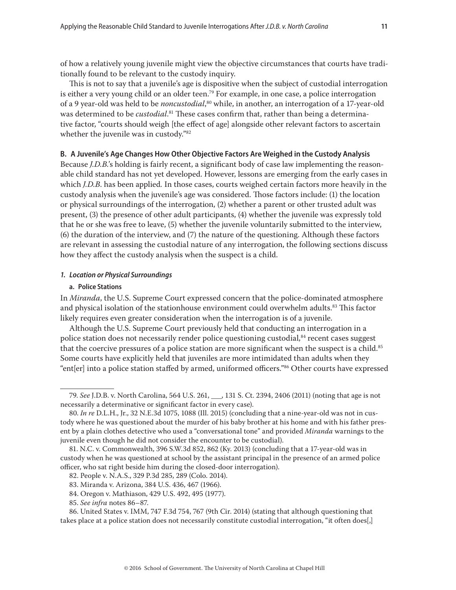<span id="page-10-0"></span>of how a relatively young juvenile might view the objective circumstances that courts have traditionally found to be relevant to the custody inquiry.

This is not to say that a juvenile's age is dispositive when the subject of custodial interrogation is either a very young child or an older teen.<sup>79</sup> For example, in one case, a police interrogation of a 9 year-old was held to be *noncustodial*, 80 while, in another, an interrogation of a 17-year-old was determined to be *custodial*. 81 These cases confirm that, rather than being a determinative factor, "courts should weigh [the effect of age] alongside other relevant factors to ascertain whether the juvenile was in custody."82

## **B. A Juvenile's Age Changes How Other Objective Factors Are Weighed in the Custody Analysis**

Because *J.D.B.*'s holding is fairly recent, a significant body of case law implementing the reasonable child standard has not yet developed. However, lessons are emerging from the early cases in which *J.D.B*. has been applied*.* In those cases, courts weighed certain factors more heavily in the custody analysis when the juvenile's age was considered. Those factors include: (1) the location or physical surroundings of the interrogation, (2) whether a parent or other trusted adult was present, (3) the presence of other adult participants, (4) whether the juvenile was expressly told that he or she was free to leave, (5) whether the juvenile voluntarily submitted to the interview, (6) the duration of the interview, and (7) the nature of the questioning. Although these factors are relevant in assessing the custodial nature of any interrogation, the following sections discuss how they affect the custody analysis when the suspect is a child.

## *1. Location or Physical Surroundings*

### **a. Police Stations**

In *Miranda*, the U.S. Supreme Court expressed concern that the police-dominated atmosphere and physical isolation of the stationhouse environment could overwhelm adults.<sup>83</sup> This factor likely requires even greater consideration when the interrogation is of a juvenile.

Although the U.S. Supreme Court previously held that conducting an interrogation in a police station does not necessarily render police questioning custodial,<sup>84</sup> recent cases suggest that the coercive pressures of a police station are more significant when the suspect is a child.<sup>85</sup> Some courts have explicitly held that juveniles are more intimidated than adults when they "ent[er] into a police station staffed by armed, uniformed officers."86 Other courts have expressed

<sup>79.</sup> *See* J.D.B. v. North Carolina, 564 U.S. 261, \_\_\_, 131 S. Ct. 2394, 2406 (2011) (noting that age is not necessarily a determinative or significant factor in every case).

<sup>80.</sup> *In re* D.L.H., Jr., 32 N.E.3d 1075, 1088 (Ill. 2015) (concluding that a nine-year-old was not in custody where he was questioned about the murder of his baby brother at his home and with his father present by a plain clothes detective who used a "conversational tone" and provided *Miranda* warnings to the juvenile even though he did not consider the encounter to be custodial).

<sup>81.</sup> N.C. v. Commonwealth, 396 S.W.3d 852, 862 (Ky. 2013) (concluding that a 17-year-old was in custody when he was questioned at school by the assistant principal in the presence of an armed police officer, who sat right beside him during the closed-door interrogation).

<sup>82.</sup> People v. N.A.S., 329 P.3d 285, 289 (Colo. 2014).

<sup>83.</sup> Miranda v. Arizona, 384 U.S. 436, 467 (1966).

<sup>84.</sup> Oregon v. Mathiason, 429 U.S. 492, 495 (1977).

<sup>85.</sup> *See infra* notes 86–87.

<sup>86.</sup> United States v. IMM, 747 F.3d 754, 767 (9th Cir. 2014) (stating that although questioning that takes place at a police station does not necessarily constitute custodial interrogation, "it often does[,]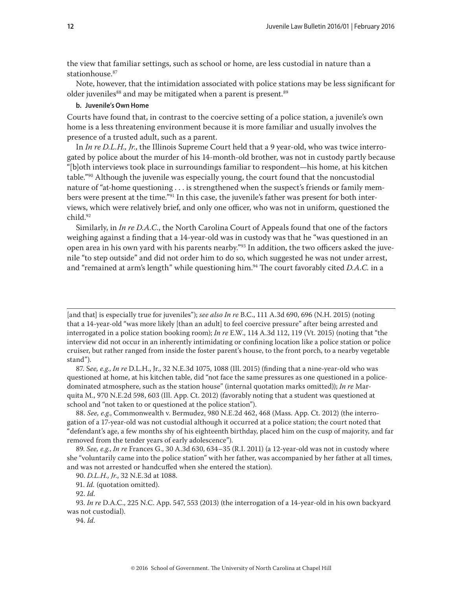<span id="page-11-0"></span>the view that familiar settings, such as school or home, are less custodial in nature than a stationhouse.<sup>87</sup>

Note, however, that the intimidation associated with police stations may be less significant for older juveniles<sup>88</sup> and may be mitigated when a parent is present.<sup>89</sup>

## **b. Juvenile's Own Home**

Courts have found that, in contrast to the coercive setting of a police station, a juvenile's own home is a less threatening environment because it is more familiar and usually involves the presence of a trusted adult, such as a parent.

In *In re D.L.H., Jr.*, the Illinois Supreme Court held that a 9 year-old, who was twice interrogated by police about the murder of his 14-month-old brother, was not in custody partly because "[b]oth interviews took place in surroundings familiar to respondent—his home, at his kitchen table."90 Although the juvenile was especially young, the court found that the noncustodial nature of "at-home questioning . . . is strengthened when the suspect's friends or family members were present at the time."<sup>91</sup> In this case, the juvenile's father was present for both interviews, which were relatively brief, and only one officer, who was not in uniform, questioned the child.<sup>92</sup>

Similarly, in *In re D.A.C.*, the North Carolina Court of Appeals found that one of the factors weighing against a finding that a 14-year-old was in custody was that he "was questioned in an open area in his own yard with his parents nearby."<sup>93</sup> In addition, the two officers asked the juvenile "to step outside" and did not order him to do so, which suggested he was not under arrest, and "remained at arm's length" while questioning him.<sup>94</sup> The court favorably cited *D.A.C.* in a

[and that] is especially true for juveniles"); *see also In re* B.C., 111 A.3d 690, 696 (N.H. 2015) (noting that a 14-year-old "was more likely [than an adult] to feel coercive pressure" after being arrested and interrogated in a police station booking room); *In re* E.W., 114 A.3d 112, 119 (Vt. 2015) (noting that "the interview did not occur in an inherently intimidating or confining location like a police station or police cruiser, but rather ranged from inside the foster parent's house, to the front porch, to a nearby vegetable stand").

87. S*ee, e.g.*, *In re* D.L.H., Jr., 32 N.E.3d 1075, 1088 (Ill. 2015) (finding that a nine-year-old who was questioned at home, at his kitchen table, did "not face the same pressures as one questioned in a policedominated atmosphere, such as the station house" (internal quotation marks omitted)); *In re* Marquita M., 970 N.E.2d 598, 603 (Ill. App. Ct. 2012) (favorably noting that a student was questioned at school and "not taken to or questioned at the police station").

88. *See, e.g.*, Commonwealth v. Bermudez, 980 N.E.2d 462, 468 (Mass. App. Ct. 2012) (the interrogation of a 17-year-old was not custodial although it occurred at a police station; the court noted that "defendant's age, a few months shy of his eighteenth birthday, placed him on the cusp of majority, and far removed from the tender years of early adolescence").

89. *See, e.g.*, *In re* Frances G., 30 A.3d 630, 634–35 (R.I. 2011) (a 12-year-old was not in custody where she "voluntarily came into the police station" with her father, was accompanied by her father at all times, and was not arrested or handcuffed when she entered the station).

94. *Id.*

<sup>90.</sup> *D.L.H., Jr.*, 32 N.E.3d at 1088.

<sup>91.</sup> *Id.* (quotation omitted).

<sup>92.</sup> *Id.*

<sup>93.</sup> *In re* D.A.C., 225 N.C. App. 547, 553 (2013) (the interrogation of a 14-year-old in his own backyard was not custodial).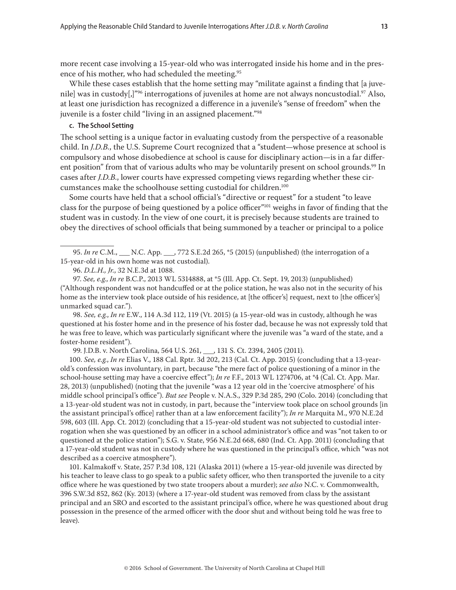<span id="page-12-0"></span>more recent case involving a 15-year-old who was interrogated inside his home and in the presence of his mother, who had scheduled the meeting.<sup>95</sup>

While these cases establish that the home setting may "militate against a finding that [a juvenile] was in custody[,]"<sup>96</sup> interrogations of juveniles at home are not always noncustodial.<sup>97</sup> Also, at least one jurisdiction has recognized a difference in a juvenile's "sense of freedom" when the juvenile is a foster child "living in an assigned placement."98

### **c. The School Setting**

The school setting is a unique factor in evaluating custody from the perspective of a reasonable child. In *J.D.B.*, the U.S. Supreme Court recognized that a "student—whose presence at school is compulsory and whose disobedience at school is cause for disciplinary action—is in a far different position" from that of various adults who may be voluntarily present on school grounds.<sup>99</sup> In cases after *J.D.B.*, lower courts have expressed competing views regarding whether these circumstances make the schoolhouse setting custodial for children.100

Some courts have held that a school official's "directive or request" for a student "to leave class for the purpose of being questioned by a police officer"101 weighs in favor of finding that the student was in custody. In the view of one court, it is precisely because students are trained to obey the directives of school officials that being summoned by a teacher or principal to a police

98. *See, e.g.*, *In re* E.W., 114 A.3d 112, 119 (Vt. 2015) (a 15-year-old was in custody, although he was questioned at his foster home and in the presence of his foster dad, because he was not expressly told that he was free to leave, which was particularly significant where the juvenile was "a ward of the state, and a foster-home resident").

99. J.D.B. v. North Carolina, 564 U.S. 261, \_\_\_, 131 S. Ct. 2394, 2405 (2011).

100. *See, e.g.*, *In re* Elias V., 188 Cal. Rptr. 3d 202, 213 (Cal. Ct. App. 2015) (concluding that a 13-yearold's confession was involuntary, in part, because "the mere fact of police questioning of a minor in the school-house setting may have a coercive effect"); *In re* F.F., 2013 WL 1274706, at \*4 (Cal. Ct. App. Mar. 28, 2013) (unpublished) (noting that the juvenile "was a 12 year old in the 'coercive atmosphere' of his middle school principal's office"). *But see* People v. N.A.S., 329 P.3d 285, 290 (Colo. 2014) (concluding that a 13-year-old student was not in custody, in part, because the "interview took place on school grounds [in the assistant principal's office] rather than at a law enforcement facility"); *In re* Marquita M., 970 N.E.2d 598, 603 (Ill. App. Ct. 2012) (concluding that a 15-year-old student was not subjected to custodial interrogation when she was questioned by an officer in a school administrator's office and was "not taken to or questioned at the police station"); S.G. v. State, 956 N.E.2d 668, 680 (Ind. Ct. App. 2011) (concluding that a 17-year-old student was not in custody where he was questioned in the principal's office, which "was not described as a coercive atmosphere").

101. Kalmakoff v. State, 257 P.3d 108, 121 (Alaska 2011) (where a 15-year-old juvenile was directed by his teacher to leave class to go speak to a public safety officer, who then transported the juvenile to a city office where he was questioned by two state troopers about a murder); *see also* N.C. v. Commonwealth, 396 S.W.3d 852, 862 (Ky. 2013) (where a 17-year-old student was removed from class by the assistant principal and an SRO and escorted to the assistant principal's office, where he was questioned about drug possession in the presence of the armed officer with the door shut and without being told he was free to leave).

<sup>95.</sup> *In re* C.M., \_\_\_ N.C. App. \_\_\_, 772 S.E.2d 265, \*5 (2015) (unpublished) (the interrogation of a 15-year-old in his own home was not custodial).

<sup>96.</sup> *D.L.H., Jr.*, 32 N.E.3d at 1088.

<sup>97.</sup> *See, e.g.*, *In re* B.C.P., 2013 WL 5314888, at \*5 (Ill. App. Ct. Sept. 19, 2013) (unpublished) ("Although respondent was not handcuffed or at the police station, he was also not in the security of his home as the interview took place outside of his residence, at [the officer's] request, next to [the officer's] unmarked squad car.").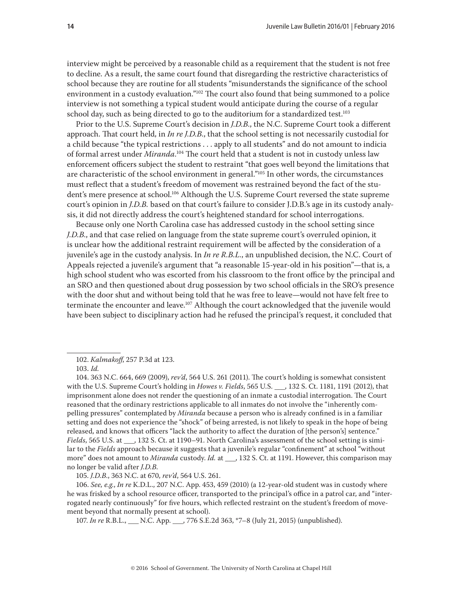interview might be perceived by a reasonable child as a requirement that the student is not free to decline. As a result, the same court found that disregarding the restrictive characteristics of school because they are routine for all students "misunderstands the significance of the school environment in a custody evaluation."<sup>102</sup> The court also found that being summoned to a police interview is not something a typical student would anticipate during the course of a regular school day, such as being directed to go to the auditorium for a standardized test.<sup>103</sup>

Prior to the U.S. Supreme Court's decision in *J.D.B.*, the N.C. Supreme Court took a different approach. That court held, in *In re J.D.B.*, that the school setting is not necessarily custodial for a child because "the typical restrictions . . . apply to all students" and do not amount to indicia of formal arrest under *Miranda*. 104 The court held that a student is not in custody unless law enforcement officers subject the student to restraint "that goes well beyond the limitations that are characteristic of the school environment in general."105 In other words, the circumstances must reflect that a student's freedom of movement was restrained beyond the fact of the student's mere presence at school.<sup>106</sup> Although the U.S. Supreme Court reversed the state supreme court's opinion in *J.D.B.* based on that court's failure to consider J.D.B.'s age in its custody analysis, it did not directly address the court's heightened standard for school interrogations.

Because only one North Carolina case has addressed custody in the school setting since *J.D.B.*, and that case relied on language from the state supreme court's overruled opinion, it is unclear how the additional restraint requirement will be affected by the consideration of a juvenile's age in the custody analysis. In *In re R.B.L.*, an unpublished decision, the N.C. Court of Appeals rejected a juvenile's argument that "a reasonable 15-year-old in his position"—that is, a high school student who was escorted from his classroom to the front office by the principal and an SRO and then questioned about drug possession by two school officials in the SRO's presence with the door shut and without being told that he was free to leave—would not have felt free to terminate the encounter and leave.<sup>107</sup> Although the court acknowledged that the juvenile would have been subject to disciplinary action had he refused the principal's request, it concluded that

105. *J.D.B.*, 363 N.C. at 670, *rev'd*, 564 U.S. 261.

106. *See, e.g.*, *In re* K.D.L., 207 N.C. App. 453, 459 (2010) (a 12-year-old student was in custody where he was frisked by a school resource officer, transported to the principal's office in a patrol car, and "interrogated nearly continuously" for five hours, which reflected restraint on the student's freedom of movement beyond that normally present at school).

107. *In re* R.B.L., \_\_\_ N.C. App. \_\_\_, 776 S.E.2d 363, \*7–8 (July 21, 2015) (unpublished).

<sup>102.</sup> *Kalmakoff*, 257 P.3d at 123.

<sup>103</sup>. *Id.*

<sup>104. 363</sup> N.C. 664, 669 (2009), *rev'd*, 564 U.S. 261 (2011). The court's holding is somewhat consistent with the U.S. Supreme Court's holding in *Howes v. Fields*, 565 U.S. \_\_\_, 132 S. Ct. 1181, 1191 (2012), that imprisonment alone does not render the questioning of an inmate a custodial interrogation. The Court reasoned that the ordinary restrictions applicable to all inmates do not involve the "inherently compelling pressures" contemplated by *Miranda* because a person who is already confined is in a familiar setting and does not experience the "shock" of being arrested, is not likely to speak in the hope of being released, and knows that officers "lack the authority to affect the duration of [the person's] sentence." *Fields*, 565 U.S. at  $\qquad$ , 132 S. Ct. at 1190–91. North Carolina's assessment of the school setting is similar to the *Fields* approach because it suggests that a juvenile's regular "confinement" at school "without more" does not amount to *Miranda* custody. *Id.* at \_\_\_, 132 S. Ct. at 1191. However, this comparison may no longer be valid after *J.D.B.*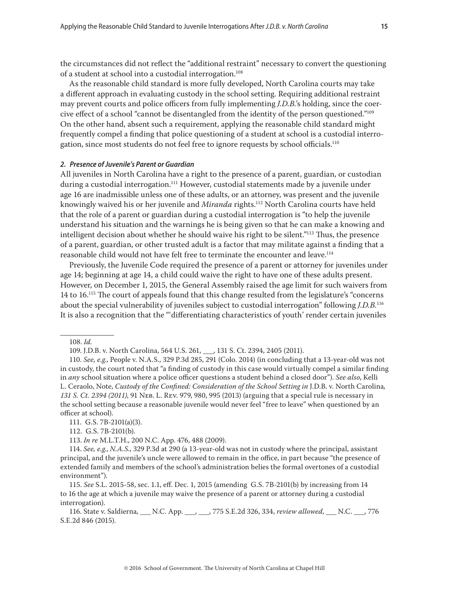<span id="page-14-0"></span>the circumstances did not reflect the "additional restraint" necessary to convert the questioning of a student at school into a custodial interrogation.<sup>108</sup>

As the reasonable child standard is more fully developed, North Carolina courts may take a different approach in evaluating custody in the school setting. Requiring additional restraint may prevent courts and police officers from fully implementing *J.D.B.*'s holding, since the coercive effect of a school "cannot be disentangled from the identity of the person questioned."109 On the other hand, absent such a requirement, applying the reasonable child standard might frequently compel a finding that police questioning of a student at school is a custodial interrogation, since most students do not feel free to ignore requests by school officials.<sup>110</sup>

## *2. Presence of Juvenile's Parent or Guardian*

All juveniles in North Carolina have a right to the presence of a parent, guardian, or custodian during a custodial interrogation.<sup>111</sup> However, custodial statements made by a juvenile under age 16 are inadmissible unless one of these adults, or an attorney, was present and the juvenile knowingly waived his or her juvenile and *Miranda* rights.112 North Carolina courts have held that the role of a parent or guardian during a custodial interrogation is "to help the juvenile understand his situation and the warnings he is being given so that he can make a knowing and intelligent decision about whether he should waive his right to be silent."113 Thus, the presence of a parent, guardian, or other trusted adult is a factor that may militate against a finding that a reasonable child would not have felt free to terminate the encounter and leave.114

Previously, the Juvenile Code required the presence of a parent or attorney for juveniles under age 14; beginning at age 14, a child could waive the right to have one of these adults present. However, on December 1, 2015, the General Assembly raised the age limit for such waivers from 14 to 16.<sup>115</sup> The court of appeals found that this change resulted from the legislature's "concerns" about the special vulnerability of juveniles subject to custodial interrogation" following *J.D.B.*<sup>116</sup> It is also a recognition that the "'differentiating characteristics of youth' render certain juveniles

111. G.S. 7B-2101(a)(3).

112. G.S. 7B-2101(b).

113. *In re* M.L.T.H., 200 N.C. App. 476, 488 (2009).

114. *See, e.g.*, *N.A.S.*, 329 P.3d at 290 (a 13-year-old was not in custody where the principal, assistant principal, and the juvenile's uncle were allowed to remain in the office, in part because "the presence of extended family and members of the school's administration belies the formal overtones of a custodial environment").

115. *See* S.L. 2015-58, sec. 1.1, eff. Dec. 1, 2015 (amending G.S. 7B-2101(b) by increasing from 14 to 16 the age at which a juvenile may waive the presence of a parent or attorney during a custodial interrogation).

116. State v. Saldierna, \_\_\_ N.C. App. \_\_\_, \_\_\_, 775 S.E.2d 326, 334, *review allowed*, \_\_\_ N.C. \_\_\_, 776 S.E.2d 846 (2015).

<sup>108.</sup> *Id.*

<sup>109.</sup> J.D.B. v. North Carolina, 564 U.S. 261, \_\_\_, 131 S. Ct. 2394, 2405 (2011).

<sup>110.</sup> *See, e.g.*, People v. N.A.S., 329 P.3d 285, 291 (Colo. 2014) (in concluding that a 13-year-old was not in custody, the court noted that "a finding of custody in this case would virtually compel a similar finding in *any* school situation where a police officer questions a student behind a closed door"). *See also*, Kelli L. Ceraolo, Note, *Custody of the Confined: Consideration of the School Setting in* J.D.B. v. North Carolina*, 131 S. Ct. 2394 (2011)*, 91 Neb. L. Rev. 979, 980, 995 (2013) (arguing that a special rule is necessary in the school setting because a reasonable juvenile would never feel "free to leave" when questioned by an officer at school).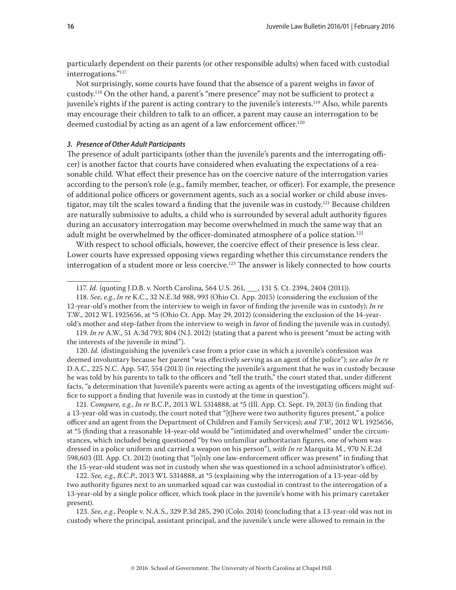<span id="page-15-0"></span>particularly dependent on their parents (or other responsible adults) when faced with custodial interrogations."117

Not surprisingly, some courts have found that the absence of a parent weighs in favor of custody.118 On the other hand, a parent's "mere presence" may not be sufficient to protect a juvenile's rights if the parent is acting contrary to the juvenile's interests.119 Also, while parents may encourage their children to talk to an officer, a parent may cause an interrogation to be deemed custodial by acting as an agent of a law enforcement officer.<sup>120</sup>

### *3. Presence of Other Adult Participants*

The presence of adult participants (other than the juvenile's parents and the interrogating officer) is another factor that courts have considered when evaluating the expectations of a reasonable child. What effect their presence has on the coercive nature of the interrogation varies according to the person's role (e.g., family member, teacher, or officer). For example, the presence of additional police officers or government agents, such as a social worker or child abuse investigator, may tilt the scales toward a finding that the juvenile was in custody.<sup>121</sup> Because children are naturally submissive to adults, a child who is surrounded by several adult authority figures during an accusatory interrogation may become overwhelmed in much the same way that an adult might be overwhelmed by the officer-dominated atmosphere of a police station.<sup>122</sup>

With respect to school officials, however, the coercive effect of their presence is less clear. Lower courts have expressed opposing views regarding whether this circumstance renders the interrogation of a student more or less coercive.<sup>123</sup> The answer is likely connected to how courts

119. *In re* A.W., 51 A.3d 793, 804 (N.J. 2012) (stating that a parent who is present "must be acting with the interests of the juvenile in mind").

120. *Id.* (distinguishing the juvenile's case from a prior case in which a juvenile's confession was deemed involuntary because her parent "was effectively serving as an agent of the police"); *see also In re* D.A.C., 225 N.C. App. 547, 554 (2013) (in rejecting the juvenile's argument that he was in custody because he was told by his parents to talk to the officers and "tell the truth," the court stated that, under different facts, "a determination that Juvenile's parents were acting as agents of the investigating officers might suffice to support a finding that Juvenile was in custody at the time in question").

121. *Compare, e.g.*, *In re* B.C.P., 2013 WL 5314888, at \*5 (Ill. App. Ct. Sept. 19, 2013) (in finding that a 13-year-old was in custody, the court noted that "[t]here were two authority figures present," a police officer and an agent from the Department of Children and Family Services); *and T.W.*, 2012 WL 1925656, at \*5 (finding that a reasonable 14-year-old would be "intimidated and overwhelmed" under the circumstances, which included being questioned "by two unfamiliar authoritarian figures, one of whom was dressed in a police uniform and carried a weapon on his person"), *with In re* Marquita M*.*, 970 N.E.2d 598,603 (Ill. App. Ct. 2012) (noting that "[o]nly one law-enforcement officer was present" in finding that the 15-year-old student was not in custody when she was questioned in a school administrator's office).

122. *See, e.g.*, *B.C.P.*, 2013 WL 5314888, at \*5 (explaining why the interrogation of a 13-year-old by two authority figures next to an unmarked squad car was custodial in contrast to the interrogation of a 13-year-old by a single police officer, which took place in the juvenile's home with his primary caretaker present).

123. *See, e.g.*, People v. N.A.S*.*, 329 P.3d 285, 290 (Colo. 2014) (concluding that a 13-year-old was not in custody where the principal, assistant principal, and the juvenile's uncle were allowed to remain in the

<sup>117.</sup> *Id.* (quoting J.D.B. v. North Carolina, 564 U.S. 261, \_\_\_, 131 S. Ct. 2394, 2404 (2011)).

<sup>118.</sup> *See, e.g.*, *In re* K.C., 32 N.E.3d 988, 993 (Ohio Ct. App. 2015) (considering the exclusion of the 12-year-old's mother from the interview to weigh in favor of finding the juvenile was in custody); *In re* T.W., 2012 WL 1925656, at \*5 (Ohio Ct. App. May 29, 2012) (considering the exclusion of the 14-yearold's mother and step-father from the interview to weigh in favor of finding the juvenile was in custody).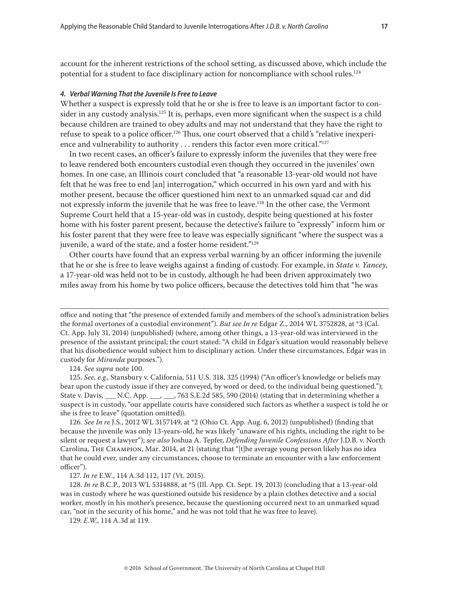<span id="page-16-0"></span>account for the inherent restrictions of the school setting, as discussed above, which include the potential for a student to face disciplinary action for noncompliance with school rules.<sup>124</sup>

## *4. Verbal Warning That the Juvenile Is Free to Leave*

Whether a suspect is expressly told that he or she is free to leave is an important factor to consider in any custody analysis.<sup>125</sup> It is, perhaps, even more significant when the suspect is a child because children are trained to obey adults and may not understand that they have the right to refuse to speak to a police officer.<sup>126</sup> Thus, one court observed that a child's "relative inexperience and vulnerability to authority  $\dots$  renders this factor even more critical."<sup>127</sup>

In two recent cases, an officer's failure to expressly inform the juveniles that they were free to leave rendered both encounters custodial even though they occurred in the juveniles' own homes. In one case, an Illinois court concluded that "a reasonable 13-year-old would not have felt that he was free to end [an] interrogation," which occurred in his own yard and with his mother present, because the officer questioned him next to an unmarked squad car and did not expressly inform the juvenile that he was free to leave.<sup>128</sup> In the other case, the Vermont Supreme Court held that a 15-year-old was in custody, despite being questioned at his foster home with his foster parent present, because the detective's failure to "expressly" inform him or his foster parent that they were free to leave was especially significant "where the suspect was a juvenile, a ward of the state, and a foster home resident."<sup>129</sup>

Other courts have found that an express verbal warning by an officer informing the juvenile that he or she is free to leave weighs against a finding of custody. For example, in *State v. Yancey*, a 17-year-old was held not to be in custody, although he had been driven approximately two miles away from his home by two police officers, because the detectives told him that "he was

124. *See supra* note 100.

125. *See, e.g.*, Stansbury v. California, 511 U.S. 318, 325 (1994) ("An officer's knowledge or beliefs may bear upon the custody issue if they are conveyed, by word or deed, to the individual being questioned."); State v. Davis, \_\_\_ N.C. App. \_\_\_, \_\_\_, 763 S.E.2d 585, 590 (2014) (stating that in determining whether a suspect is in custody, "our appellate courts have considered such factors as whether a suspect is told he or she is free to leave" (quotation omitted)).

126. *See In re* J.S., 2012 WL 3157149, at \*2 (Ohio Ct. App. Aug. 6, 2012) (unpublished) (finding that because the juvenile was only 13-years-old, he was likely "unaware of his rights, including the right to be silent or request a lawyer"); *see also* Joshua A. Tepfer, *Defending Juvenile Confessions After* J.D.B. v. North Carolina, The Champion, Mar. 2014, at 21 (stating that "[t]he average young person likely has no idea that he could ever, under any circumstances, choose to terminate an encounter with a law enforcement officer").

127. *In re* E.W., 114 A.3d 112, 117 (Vt. 2015).

128. *In re* B.C.P., 2013 WL 5314888, at \*5 (Ill. App. Ct. Sept. 19, 2013) (concluding that a 13-year-old was in custody where he was questioned outside his residence by a plain clothes detective and a social worker, mostly in his mother's presence, because the questioning occurred next to an unmarked squad car, "not in the security of his home," and he was not told that he was free to leave).

129. *E.W.*, 114 A.3d at 119.

office and noting that "the presence of extended family and members of the school's administration belies the formal overtones of a custodial environment"). *But see In re* Edgar Z., 2014 WL 3752828, at \*3 (Cal. Ct. App. July 31, 2014) (unpublished) (where, among other things, a 13-year-old was interviewed in the presence of the assistant principal; the court stated: "A child in Edgar's situation would reasonably believe that his disobedience would subject him to disciplinary action. Under these circumstances, Edgar was in custody for *Miranda* purposes.").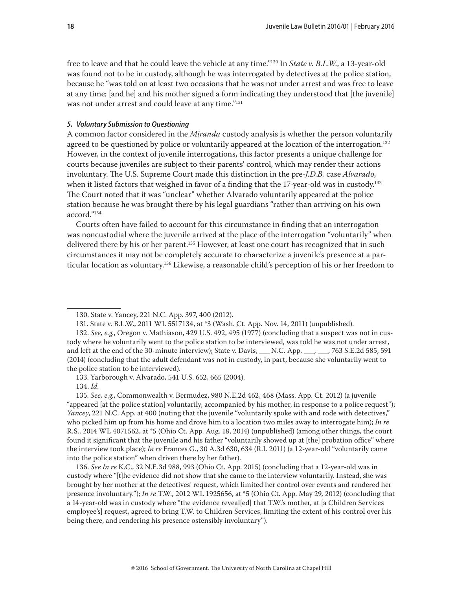<span id="page-17-0"></span>free to leave and that he could leave the vehicle at any time."130 In *State v. B.L.W.*, a 13-year-old was found not to be in custody, although he was interrogated by detectives at the police station, because he "was told on at least two occasions that he was not under arrest and was free to leave at any time; [and he] and his mother signed a form indicating they understood that [the juvenile] was not under arrest and could leave at any time."131

## *5. Voluntary Submission to Questioning*

A common factor considered in the *Miranda* custody analysis is whether the person voluntarily agreed to be questioned by police or voluntarily appeared at the location of the interrogation.<sup>132</sup> However, in the context of juvenile interrogations, this factor presents a unique challenge for courts because juveniles are subject to their parents' control, which may render their actions involuntary. The U.S. Supreme Court made this distinction in the pre-*J.D.B.* case *Alvarado*, when it listed factors that weighed in favor of a finding that the 17-year-old was in custody.<sup>133</sup> The Court noted that it was "unclear" whether Alvarado voluntarily appeared at the police station because he was brought there by his legal guardians "rather than arriving on his own accord."134

Courts often have failed to account for this circumstance in finding that an interrogation was noncustodial where the juvenile arrived at the place of the interrogation "voluntarily" when delivered there by his or her parent.<sup>135</sup> However, at least one court has recognized that in such circumstances it may not be completely accurate to characterize a juvenile's presence at a particular location as voluntary.136 Likewise, a reasonable child's perception of his or her freedom to

133. Yarborough v. Alvarado, 541 U.S. 652, 665 (2004).

134. *Id.*

135. *See, e.g.*, Commonwealth v. Bermudez, 980 N.E.2d 462, 468 (Mass. App. Ct. 2012) (a juvenile "appeared [at the police station] voluntarily, accompanied by his mother, in response to a police request"); *Yancey*, 221 N.C. App. at 400 (noting that the juvenile "voluntarily spoke with and rode with detectives," who picked him up from his home and drove him to a location two miles away to interrogate him); *In re* R.S., 2014 WL 4071562, at \*5 (Ohio Ct. App. Aug. 18, 2014) (unpublished) (among other things, the court found it significant that the juvenile and his father "voluntarily showed up at [the] probation office" where the interview took place); *In re* Frances G., 30 A.3d 630, 634 (R.I. 2011) (a 12-year-old "voluntarily came into the police station" when driven there by her father).

136. *See In re* K.C., 32 N.E.3d 988, 993 (Ohio Ct. App. 2015) (concluding that a 12-year-old was in custody where "[t]he evidence did not show that she came to the interview voluntarily. Instead, she was brought by her mother at the detectives' request, which limited her control over events and rendered her presence involuntary."); *In re* T.W., 2012 WL 1925656, at \*5 (Ohio Ct. App. May 29, 2012) (concluding that a 14-year-old was in custody where "the evidence reveal[ed] that T.W.'s mother, at [a Children Services employee's] request, agreed to bring T.W. to Children Services, limiting the extent of his control over his being there, and rendering his presence ostensibly involuntary").

<sup>130.</sup> State v. Yancey, 221 N.C. App. 397, 400 (2012).

<sup>131.</sup> State v. B.L.W., 2011 WL 5517134, at \*3 (Wash. Ct. App. Nov. 14, 2011) (unpublished).

<sup>132.</sup> *See, e.g.*, Oregon v. Mathiason, 429 U.S. 492, 495 (1977) (concluding that a suspect was not in custody where he voluntarily went to the police station to be interviewed, was told he was not under arrest, and left at the end of the 30-minute interview); State v. Davis, \_\_\_ N.C. App. \_\_\_, \_\_, 763 S.E.2d 585, 591 (2014) (concluding that the adult defendant was not in custody, in part, because she voluntarily went to the police station to be interviewed).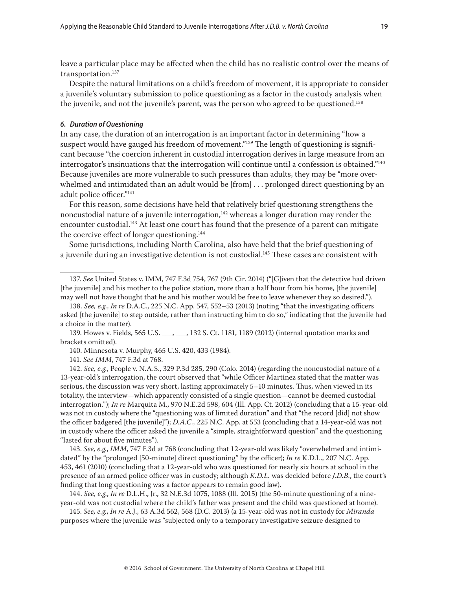<span id="page-18-0"></span>leave a particular place may be affected when the child has no realistic control over the means of transportation.<sup>137</sup>

Despite the natural limitations on a child's freedom of movement, it is appropriate to consider a juvenile's voluntary submission to police questioning as a factor in the custody analysis when the juvenile, and not the juvenile's parent, was the person who agreed to be questioned.<sup>138</sup>

#### *6. Duration of Questioning*

In any case, the duration of an interrogation is an important factor in determining "how a suspect would have gauged his freedom of movement."<sup>139</sup> The length of questioning is significant because "the coercion inherent in custodial interrogation derives in large measure from an interrogator's insinuations that the interrogation will continue until a confession is obtained."140 Because juveniles are more vulnerable to such pressures than adults, they may be "more overwhelmed and intimidated than an adult would be [from] . . . prolonged direct questioning by an adult police officer."141

For this reason, some decisions have held that relatively brief questioning strengthens the noncustodial nature of a juvenile interrogation, $142$  whereas a longer duration may render the encounter custodial.<sup>143</sup> At least one court has found that the presence of a parent can mitigate the coercive effect of longer questioning.<sup>144</sup>

Some jurisdictions, including North Carolina, also have held that the brief questioning of a juvenile during an investigative detention is not custodial.145 These cases are consistent with

139. Howes v. Fields, 565 U.S. \_\_\_, \_\_\_, 132 S. Ct. 1181, 1189 (2012) (internal quotation marks and brackets omitted).

140. Minnesota v. Murphy, 465 U.S. 420, 433 (1984).

141. *See IMM*, 747 F.3d at 768.

142. *See, e.g.*, People v. N.A.S., 329 P.3d 285, 290 (Colo. 2014) (regarding the noncustodial nature of a 13-year-old's interrogation, the court observed that "while Officer Martinez stated that the matter was serious, the discussion was very short, lasting approximately 5–10 minutes. Thus, when viewed in its totality, the interview—which apparently consisted of a single question—cannot be deemed custodial interrogation."); *In re* Marquita M., 970 N.E.2d 598, 604 (Ill. App. Ct. 2012) (concluding that a 15-year-old was not in custody where the "questioning was of limited duration" and that "the record [did] not show the officer badgered [the juvenile]"); *D.A.C.*, 225 N.C. App. at 553 (concluding that a 14-year-old was not in custody where the officer asked the juvenile a "simple, straightforward question" and the questioning "lasted for about five minutes").

143. *See, e.g.*, *IMM*, 747 F.3d at 768 (concluding that 12-year-old was likely "overwhelmed and intimidated" by the "prolonged [50-minute] direct questioning" by the officer); *In re* K.D.L., 207 N.C. App. 453, 461 (2010) (concluding that a 12-year-old who was questioned for nearly six hours at school in the presence of an armed police officer was in custody; although *K.D.L.* was decided before *J.D.B.*, the court's finding that long questioning was a factor appears to remain good law).

144. *See, e.g.*, *In re* D.L.H., Jr., 32 N.E.3d 1075, 1088 (Ill. 2015) (the 50-minute questioning of a nineyear-old was not custodial where the child's father was present and the child was questioned at home).

145. *See, e.g.*, *In re* A.J., 63 A.3d 562, 568 (D.C. 2013) (a 15-year-old was not in custody for *Miranda* purposes where the juvenile was "subjected only to a temporary investigative seizure designed to

<sup>137.</sup> *See* United States v. IMM, 747 F.3d 754, 767 (9th Cir. 2014) ("[G]iven that the detective had driven [the juvenile] and his mother to the police station, more than a half hour from his home, [the juvenile] may well not have thought that he and his mother would be free to leave whenever they so desired.").

<sup>138.</sup> *See, e.g.*, *In re* D.A.C*.*, 225 N.C. App. 547, 552–53 (2013) (noting "that the investigating officers asked [the juvenile] to step outside, rather than instructing him to do so," indicating that the juvenile had a choice in the matter).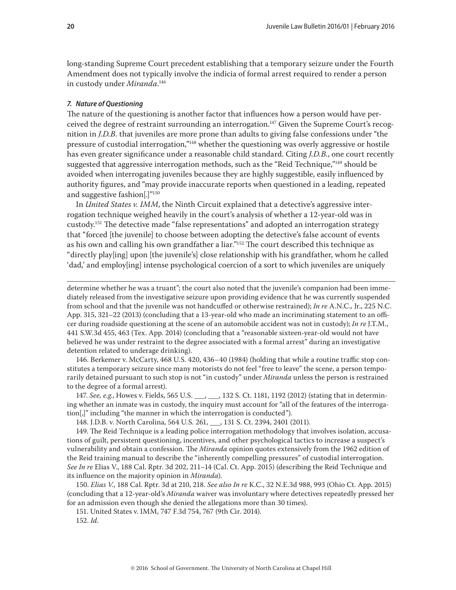<span id="page-19-0"></span>long-standing Supreme Court precedent establishing that a temporary seizure under the Fourth Amendment does not typically involve the indicia of formal arrest required to render a person in custody under *Miranda*. 146

#### *7. Nature of Questioning*

The nature of the questioning is another factor that influences how a person would have perceived the degree of restraint surrounding an interrogation.147 Given the Supreme Court's recognition in *J.D.B.* that juveniles are more prone than adults to giving false confessions under "the pressure of custodial interrogation,"148 whether the questioning was overly aggressive or hostile has even greater significance under a reasonable child standard. Citing *J.D.B.*, one court recently suggested that aggressive interrogation methods, such as the "Reid Technique,"149 should be avoided when interrogating juveniles because they are highly suggestible, easily influenced by authority figures, and "may provide inaccurate reports when questioned in a leading, repeated and suggestive fashion[.]"150

In *United States v. IMM*, the Ninth Circuit explained that a detective's aggressive interrogation technique weighed heavily in the court's analysis of whether a 12-year-old was in custody.151 The detective made "false representations" and adopted an interrogation strategy that "forced [the juvenile] to choose between adopting the detective's false account of events as his own and calling his own grandfather a liar."<sup>152</sup> The court described this technique as "directly play[ing] upon [the juvenile's] close relationship with his grandfather, whom he called 'dad,' and employ[ing] intense psychological coercion of a sort to which juveniles are uniquely

determine whether he was a truant"; the court also noted that the juvenile's companion had been immediately released from the investigative seizure upon providing evidence that he was currently suspended from school and that the juvenile was not handcuffed or otherwise restrained); *In re* A.N.C.*,* Jr., 225 N.C. App. 315, 321–22 (2013) (concluding that a 13-year-old who made an incriminating statement to an officer during roadside questioning at the scene of an automobile accident was not in custody); *In re* J.T.M., 441 S.W.3d 455, 463 (Tex. App. 2014) (concluding that a "reasonable sixteen-year-old would not have believed he was under restraint to the degree associated with a formal arrest" during an investigative detention related to underage drinking).

146. Berkemer v. McCarty, 468 U.S. 420, 436–40 (1984) (holding that while a routine traffic stop constitutes a temporary seizure since many motorists do not feel "free to leave" the scene, a person temporarily detained pursuant to such stop is not "in custody" under *Miranda* unless the person is restrained to the degree of a formal arrest).

147. *See, e.g.*, Howes v. Fields, 565 U.S. \_\_\_, \_\_\_, 132 S. Ct. 1181, 1192 (2012) (stating that in determining whether an inmate was in custody, the inquiry must account for "all of the features of the interrogation[,]" including "the manner in which the interrogation is conducted").

148. J.D.B. v. North Carolina, 564 U.S. 261, \_\_\_, 131 S. Ct. 2394, 2401 (2011).

149. The Reid Technique is a leading police interrogation methodology that involves isolation, accusations of guilt, persistent questioning, incentives, and other psychological tactics to increase a suspect's vulnerability and obtain a confession. The *Miranda* opinion quotes extensively from the 1962 edition of the Reid training manual to describe the "inherently compelling pressures" of custodial interrogation. *See In re* Elias V., 188 Cal. Rptr. 3d 202, 211–14 (Cal. Ct. App. 2015) (describing the Reid Technique and its influence on the majority opinion in *Miranda*).

150. *Elias V.*, 188 Cal. Rptr. 3d at 210, 218. *See also In re* K.C., 32 N.E.3d 988, 993 (Ohio Ct. App. 2015) (concluding that a 12-year-old's *Miranda* waiver was involuntary where detectives repeatedly pressed her for an admission even though she denied the allegations more than 30 times).

151. United States v. IMM, 747 F.3d 754, 767 (9th Cir. 2014).

152. *Id.*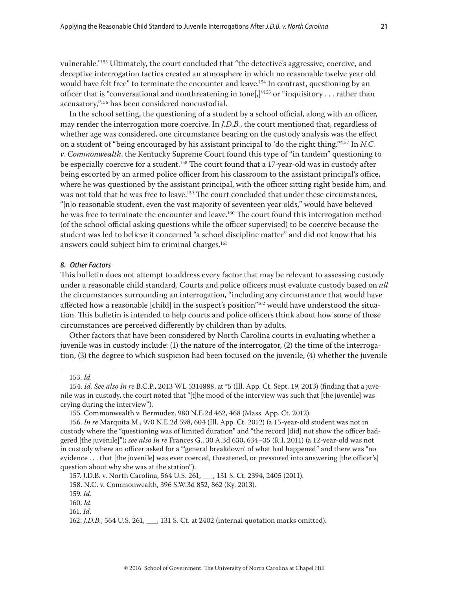<span id="page-20-0"></span>vulnerable."153 Ultimately, the court concluded that "the detective's aggressive, coercive, and deceptive interrogation tactics created an atmosphere in which no reasonable twelve year old would have felt free" to terminate the encounter and leave.<sup>154</sup> In contrast, questioning by an officer that is "conversational and nonthreatening in tone[,]"<sup>155</sup> or "inquisitory . . . rather than accusatory,"156 has been considered noncustodial.

In the school setting, the questioning of a student by a school official, along with an officer, may render the interrogation more coercive. In *J.D.B.*, the court mentioned that, regardless of whether age was considered, one circumstance bearing on the custody analysis was the effect on a student of "being encouraged by his assistant principal to 'do the right thing.'"157 In *N.C. v. Commonwealth*, the Kentucky Supreme Court found this type of "in tandem" questioning to be especially coercive for a student.<sup>158</sup> The court found that a 17-year-old was in custody after being escorted by an armed police officer from his classroom to the assistant principal's office, where he was questioned by the assistant principal, with the officer sitting right beside him, and was not told that he was free to leave.<sup>159</sup> The court concluded that under these circumstances, "[n]o reasonable student, even the vast majority of seventeen year olds," would have believed he was free to terminate the encounter and leave.<sup>160</sup> The court found this interrogation method (of the school official asking questions while the officer supervised) to be coercive because the student was led to believe it concerned "a school discipline matter" and did not know that his answers could subject him to criminal charges.<sup>161</sup>

#### *8. Other Factors*

This bulletin does not attempt to address every factor that may be relevant to assessing custody under a reasonable child standard. Courts and police officers must evaluate custody based on *all* the circumstances surrounding an interrogation, "including any circumstance that would have affected how a reasonable [child] in the suspect's position"<sup>162</sup> would have understood the situation. This bulletin is intended to help courts and police officers think about how some of those circumstances are perceived differently by children than by adults.

Other factors that have been considered by North Carolina courts in evaluating whether a juvenile was in custody include: (1) the nature of the interrogator, (2) the time of the interrogation, (3) the degree to which suspicion had been focused on the juvenile, (4) whether the juvenile

158. N.C. v. Commonwealth, 396 S.W.3d 852, 862 (Ky. 2013).

<sup>153.</sup> *Id.*

<sup>154.</sup> *Id. See also In re* B.C.P., 2013 WL 5314888, at \*5 (Ill. App. Ct. Sept. 19, 2013) (finding that a juvenile was in custody, the court noted that "[t]he mood of the interview was such that [the juvenile] was crying during the interview").

<sup>155.</sup> Commonwealth v. Bermudez, 980 N.E.2d 462, 468 (Mass. App. Ct. 2012).

<sup>156.</sup> *In re* Marquita M., 970 N.E.2d 598, 604 (Ill. App. Ct. 2012) (a 15-year-old student was not in custody where the "questioning was of limited duration" and "the record [did] not show the officer badgered [the juvenile]"); *see also In re* Frances G., 30 A.3d 630, 634–35 (R.I. 2011) (a 12-year-old was not in custody where an officer asked for a "'general breakdown' of what had happened" and there was "no evidence . . . that [the juvenile] was ever coerced, threatened, or pressured into answering [the officer's] question about why she was at the station").

<sup>157.</sup> J.D.B. v. North Carolina, 564 U.S. 261, \_\_\_, 131 S. Ct. 2394, 2405 (2011).

<sup>159.</sup> *Id*.

<sup>160.</sup> *Id.*

<sup>161.</sup> *Id*.

<sup>162.</sup> *J.D.B.*, 564 U.S. 261, \_\_\_, 131 S. Ct. at 2402 (internal quotation marks omitted).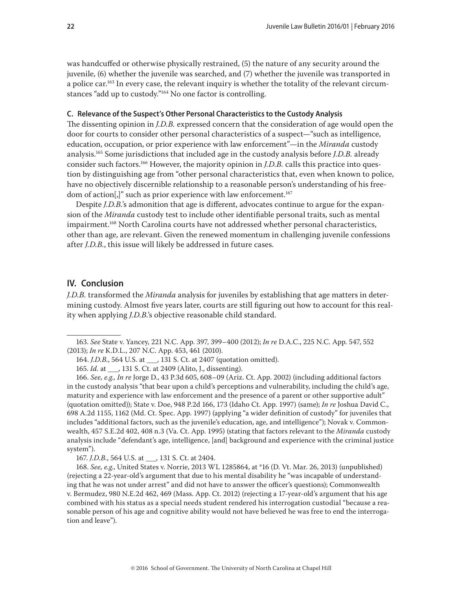<span id="page-21-0"></span>was handcuffed or otherwise physically restrained, (5) the nature of any security around the juvenile, (6) whether the juvenile was searched, and (7) whether the juvenile was transported in a police car.<sup>163</sup> In every case, the relevant inquiry is whether the totality of the relevant circumstances "add up to custody."164 No one factor is controlling.

# **C. Relevance of the Suspect's Other Personal Characteristics to the Custody Analysis**

The dissenting opinion in *J.D.B.* expressed concern that the consideration of age would open the door for courts to consider other personal characteristics of a suspect—"such as intelligence, education, occupation, or prior experience with law enforcement"—in the *Miranda* custody analysis.165 Some jurisdictions that included age in the custody analysis before *J.D.B.* already consider such factors.166 However, the majority opinion in *J.D.B.* calls this practice into question by distinguishing age from "other personal characteristics that, even when known to police, have no objectively discernible relationship to a reasonable person's understanding of his freedom of action[,]" such as prior experience with law enforcement.<sup>167</sup>

Despite *J.D.B.*'s admonition that age is different, advocates continue to argue for the expansion of the *Miranda* custody test to include other identifiable personal traits, such as mental impairment.168 North Carolina courts have not addressed whether personal characteristics, other than age, are relevant. Given the renewed momentum in challenging juvenile confessions after *J.D.B.*, this issue will likely be addressed in future cases.

# **IV. Conclusion**

*J.D.B.* transformed the *Miranda* analysis for juveniles by establishing that age matters in determining custody. Almost five years later, courts are still figuring out how to account for this reality when applying *J.D.B.*'s objective reasonable child standard.

<sup>163.</sup> *See* State v. Yancey, 221 N.C. App. 397, 399–400 (2012); *In re* D.A.C., 225 N.C. App. 547, 552 (2013); *In re* K.D.L., 207 N.C. App. 453, 461 (2010).

<sup>164.</sup> *J.D.B.*, 564 U.S. at \_\_\_, 131 S. Ct. at 2407 (quotation omitted).

<sup>165.</sup> *Id.* at \_\_\_, 131 S. Ct. at 2409 (Alito, J., dissenting).

<sup>166.</sup> *See, e.g., In re* Jorge D., 43 P.3d 605, 608–09 (Ariz. Ct. App. 2002) (including additional factors in the custody analysis "that bear upon a child's perceptions and vulnerability, including the child's age, maturity and experience with law enforcement and the presence of a parent or other supportive adult" (quotation omitted)); State v. Doe, 948 P.2d 166, 173 (Idaho Ct. App. 1997) (same); *In re* Joshua David C., 698 A.2d 1155, 1162 (Md. Ct. Spec. App. 1997) (applying "a wider definition of custody" for juveniles that includes "additional factors, such as the juvenile's education, age, and intelligence"); Novak v. Commonwealth, 457 S.E.2d 402, 408 n.3 (Va. Ct. App. 1995) (stating that factors relevant to the *Miranda* custody analysis include "defendant's age, intelligence, [and] background and experience with the criminal justice system").

<sup>167.</sup> *J.D.B.*, 564 U.S. at \_\_\_, 131 S. Ct. at 2404.

<sup>168.</sup> *See, e.g.*, United States v. Norrie, 2013 WL 1285864, at \*16 (D. Vt. Mar. 26, 2013) (unpublished) (rejecting a 22-year-old's argument that due to his mental disability he "was incapable of understanding that he was not under arrest" and did not have to answer the officer's questions); Commonwealth v. Bermudez, 980 N.E.2d 462, 469 (Mass. App. Ct. 2012) (rejecting a 17-year-old's argument that his age combined with his status as a special needs student rendered his interrogation custodial "because a reasonable person of his age and cognitive ability would not have believed he was free to end the interrogation and leave").